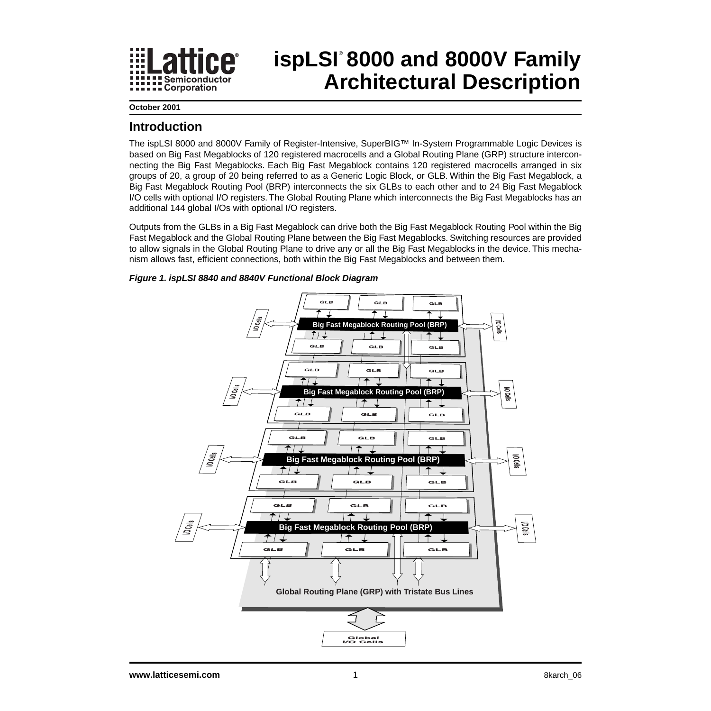

# **ispLSI 8000 and 8000V Family** ® **Architectural Description**

**October 2001**

### **Introduction**

The ispLSI 8000 and 8000V Family of Register-Intensive, SuperBIG™ In-System Programmable Logic Devices is based on Big Fast Megablocks of 120 registered macrocells and a Global Routing Plane (GRP) structure interconnecting the Big Fast Megablocks. Each Big Fast Megablock contains 120 registered macrocells arranged in six groups of 20, a group of 20 being referred to as a Generic Logic Block, or GLB. Within the Big Fast Megablock, a Big Fast Megablock Routing Pool (BRP) interconnects the six GLBs to each other and to 24 Big Fast Megablock I/O cells with optional I/O registers. The Global Routing Plane which interconnects the Big Fast Megablocks has an additional 144 global I/Os with optional I/O registers.

Outputs from the GLBs in a Big Fast Megablock can drive both the Big Fast Megablock Routing Pool within the Big Fast Megablock and the Global Routing Plane between the Big Fast Megablocks. Switching resources are provided to allow signals in the Global Routing Plane to drive any or all the Big Fast Megablocks in the device. This mechanism allows fast, efficient connections, both within the Big Fast Megablocks and between them.



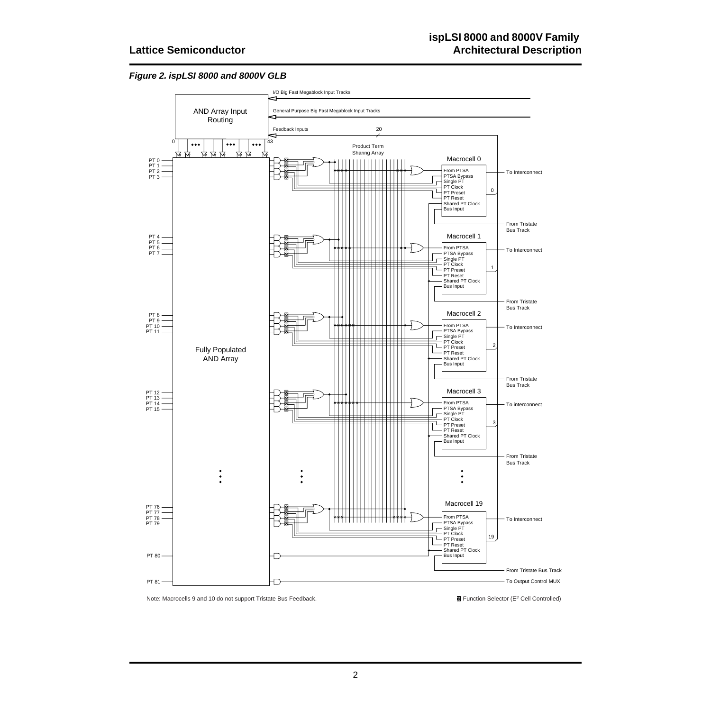#### **Figure 2. ispLSI 8000 and 8000V GLB**



Note: Macrocells 9 and 10 do not support Tristate Bus Feedback. Cell Controlled) **and Function Selector (E<sup>2</sup> Cell Controlled)**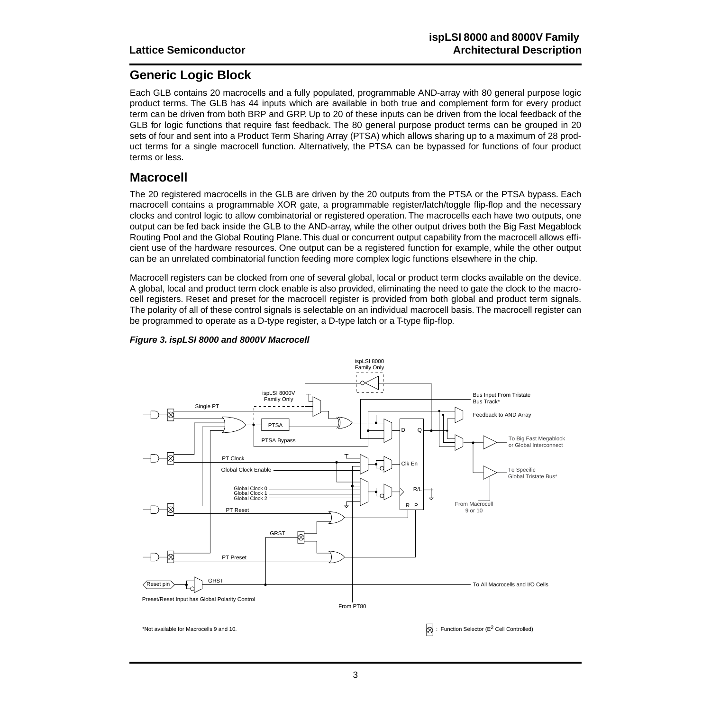### **Generic Logic Block**

Each GLB contains 20 macrocells and a fully populated, programmable AND-array with 80 general purpose logic product terms. The GLB has 44 inputs which are available in both true and complement form for every product term can be driven from both BRP and GRP. Up to 20 of these inputs can be driven from the local feedback of the GLB for logic functions that require fast feedback. The 80 general purpose product terms can be grouped in 20 sets of four and sent into a Product Term Sharing Array (PTSA) which allows sharing up to a maximum of 28 product terms for a single macrocell function. Alternatively, the PTSA can be bypassed for functions of four product terms or less.

### **Macrocell**

The 20 registered macrocells in the GLB are driven by the 20 outputs from the PTSA or the PTSA bypass. Each macrocell contains a programmable XOR gate, a programmable register/latch/toggle flip-flop and the necessary clocks and control logic to allow combinatorial or registered operation. The macrocells each have two outputs, one output can be fed back inside the GLB to the AND-array, while the other output drives both the Big Fast Megablock Routing Pool and the Global Routing Plane. This dual or concurrent output capability from the macrocell allows efficient use of the hardware resources. One output can be a registered function for example, while the other output can be an unrelated combinatorial function feeding more complex logic functions elsewhere in the chip.

Macrocell registers can be clocked from one of several global, local or product term clocks available on the device. A global, local and product term clock enable is also provided, eliminating the need to gate the clock to the macrocell registers. Reset and preset for the macrocell register is provided from both global and product term signals. The polarity of all of these control signals is selectable on an individual macrocell basis. The macrocell register can be programmed to operate as a D-type register, a D-type latch or a T-type flip-flop.



### **Figure 3. ispLSI 8000 and 8000V Macrocell**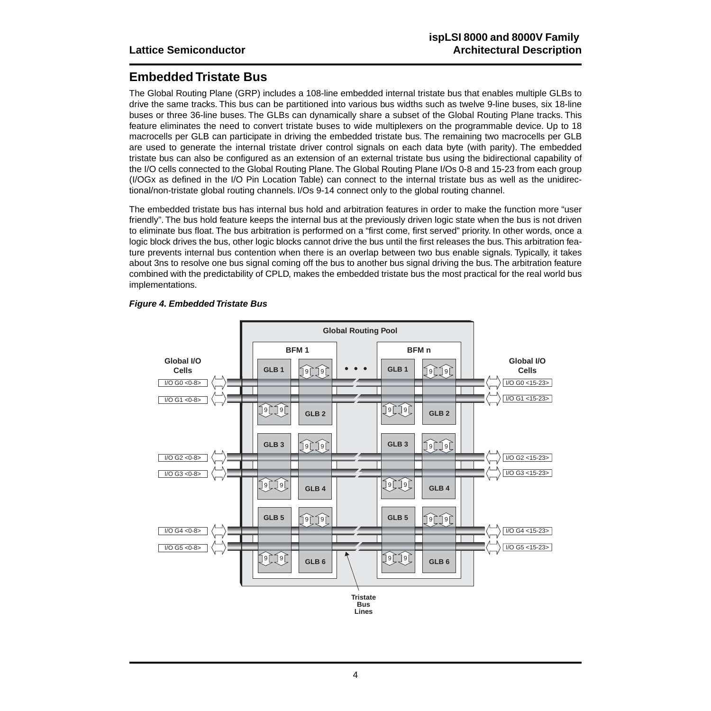# **Embedded Tristate Bus**

The Global Routing Plane (GRP) includes a 108-line embedded internal tristate bus that enables multiple GLBs to drive the same tracks. This bus can be partitioned into various bus widths such as twelve 9-line buses, six 18-line buses or three 36-line buses. The GLBs can dynamically share a subset of the Global Routing Plane tracks. This feature eliminates the need to convert tristate buses to wide multiplexers on the programmable device. Up to 18 macrocells per GLB can participate in driving the embedded tristate bus. The remaining two macrocells per GLB are used to generate the internal tristate driver control signals on each data byte (with parity). The embedded tristate bus can also be configured as an extension of an external tristate bus using the bidirectional capability of the I/O cells connected to the Global Routing Plane. The Global Routing Plane I/Os 0-8 and 15-23 from each group (I/OGx as defined in the I/O Pin Location Table) can connect to the internal tristate bus as well as the unidirectional/non-tristate global routing channels. I/Os 9-14 connect only to the global routing channel.

The embedded tristate bus has internal bus hold and arbitration features in order to make the function more "user friendly". The bus hold feature keeps the internal bus at the previously driven logic state when the bus is not driven to eliminate bus float. The bus arbitration is performed on a "first come, first served" priority. In other words, once a logic block drives the bus, other logic blocks cannot drive the bus until the first releases the bus. This arbitration feature prevents internal bus contention when there is an overlap between two bus enable signals. Typically, it takes about 3ns to resolve one bus signal coming off the bus to another bus signal driving the bus. The arbitration feature combined with the predictability of CPLD, makes the embedded tristate bus the most practical for the real world bus implementations.



### **Figure 4. Embedded Tristate Bus**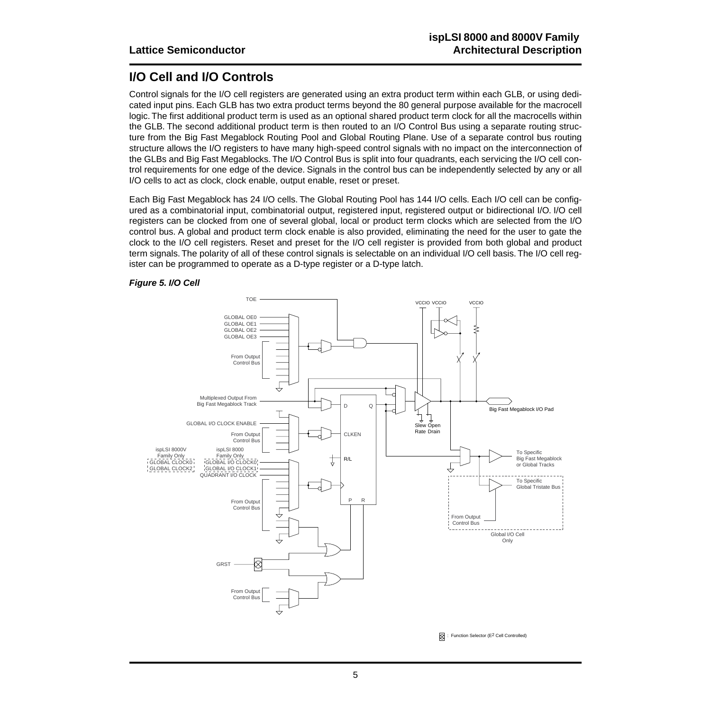# **I/O Cell and I/O Controls**

Control signals for the I/O cell registers are generated using an extra product term within each GLB, or using dedicated input pins. Each GLB has two extra product terms beyond the 80 general purpose available for the macrocell logic. The first additional product term is used as an optional shared product term clock for all the macrocells within the GLB. The second additional product term is then routed to an I/O Control Bus using a separate routing structure from the Big Fast Megablock Routing Pool and Global Routing Plane. Use of a separate control bus routing structure allows the I/O registers to have many high-speed control signals with no impact on the interconnection of the GLBs and Big Fast Megablocks. The I/O Control Bus is split into four quadrants, each servicing the I/O cell control requirements for one edge of the device. Signals in the control bus can be independently selected by any or all I/O cells to act as clock, clock enable, output enable, reset or preset.

Each Big Fast Megablock has 24 I/O cells. The Global Routing Pool has 144 I/O cells. Each I/O cell can be configured as a combinatorial input, combinatorial output, registered input, registered output or bidirectional I/O. I/O cell registers can be clocked from one of several global, local or product term clocks which are selected from the I/O control bus. A global and product term clock enable is also provided, eliminating the need for the user to gate the clock to the I/O cell registers. Reset and preset for the I/O cell register is provided from both global and product term signals. The polarity of all of these control signals is selectable on an individual I/O cell basis. The I/O cell register can be programmed to operate as a D-type register or a D-type latch.

### **Figure 5. I/O Cell**



 $\oslash$  : Function Selector (E<sup>2</sup> Cell Controlled)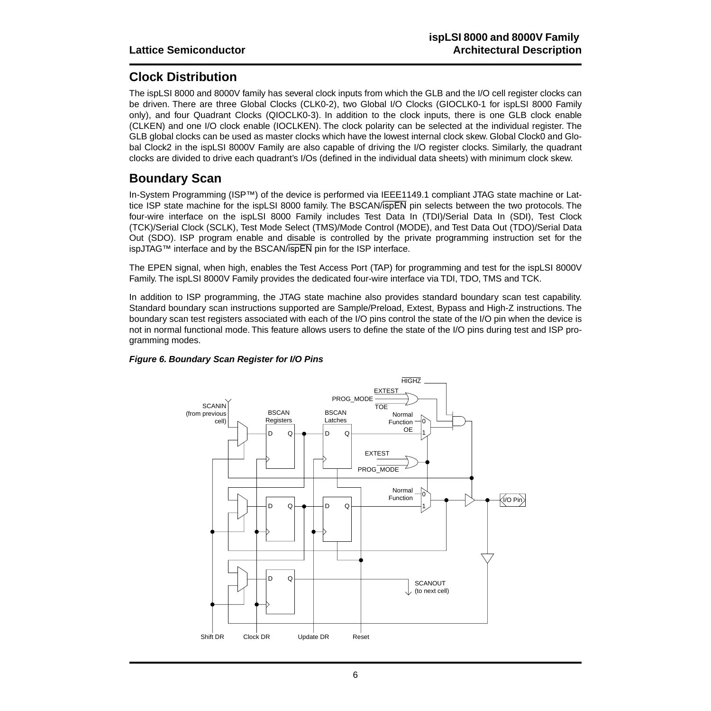## **Clock Distribution**

The ispLSI 8000 and 8000V family has several clock inputs from which the GLB and the I/O cell register clocks can be driven. There are three Global Clocks (CLK0-2), two Global I/O Clocks (GIOCLK0-1 for ispLSI 8000 Family only), and four Quadrant Clocks (QIOCLK0-3). In addition to the clock inputs, there is one GLB clock enable (CLKEN) and one I/O clock enable (IOCLKEN). The clock polarity can be selected at the individual register. The GLB global clocks can be used as master clocks which have the lowest internal clock skew. Global Clock0 and Global Clock2 in the ispLSI 8000V Family are also capable of driving the I/O register clocks. Similarly, the quadrant clocks are divided to drive each quadrant's I/Os (defined in the individual data sheets) with minimum clock skew.

### **Boundary Scan**

In-System Programming (ISP™) of the device is performed via IEEE1149.1 compliant JTAG state machine or Lattice ISP state machine for the ispLSI 8000 family. The BSCAN/ispEN pin selects between the two protocols. The four-wire interface on the ispLSI 8000 Family includes Test Data In (TDI)/Serial Data In (SDI), Test Clock (TCK)/Serial Clock (SCLK), Test Mode Select (TMS)/Mode Control (MODE), and Test Data Out (TDO)/Serial Data Out (SDO). ISP program enable and disable is controlled by the private programming instruction set for the ispJTAG™ interface and by the BSCAN/ispEN pin for the ISP interface.

The EPEN signal, when high, enables the Test Access Port (TAP) for programming and test for the ispLSI 8000V Family. The ispLSI 8000V Family provides the dedicated four-wire interface via TDI, TDO, TMS and TCK.

In addition to ISP programming, the JTAG state machine also provides standard boundary scan test capability. Standard boundary scan instructions supported are Sample/Preload, Extest, Bypass and High-Z instructions. The boundary scan test registers associated with each of the I/O pins control the state of the I/O pin when the device is not in normal functional mode. This feature allows users to define the state of the I/O pins during test and ISP programming modes.



### **Figure 6. Boundary Scan Register for I/O Pins**